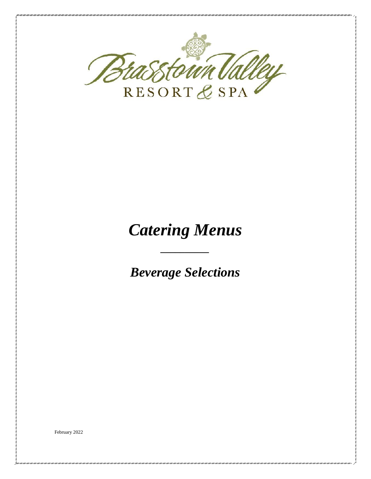

# *Catering Menus*

*\_\_\_\_\_\_\_\_\_\_*

*Beverage Selections*

February 2022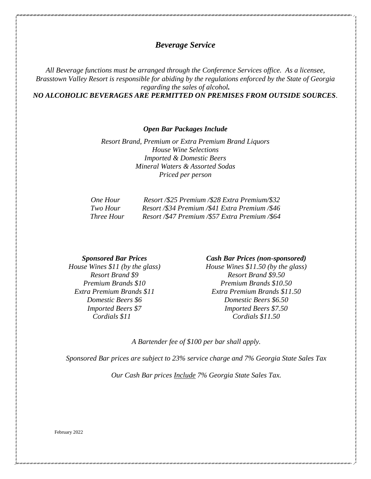# *Beverage Service*

*All Beverage functions must be arranged through the Conference Services office. As a licensee, Brasstown Valley Resort is responsible for abiding by the regulations enforced by the State of Georgia regarding the sales of alcohol.* 

*NO ALCOHOLIC BEVERAGES ARE PERMITTED ON PREMISES FROM OUTSIDE SOURCES.*

*Open Bar Packages Include*

*Resort Brand, Premium or Extra Premium Brand Liquors House Wine Selections Imported & Domestic Beers Mineral Waters & Assorted Sodas Priced per person*

| One Hour   | Resort /\$25 Premium /\$28 Extra Premium/\$32  |
|------------|------------------------------------------------|
| Two Hour   | Resort /\$34 Premium /\$41 Extra Premium /\$46 |
| Three Hour | Resort /\$47 Premium /\$57 Extra Premium /\$64 |

*Sponsored Bar Prices House Wines \$11 (by the glass) Resort Brand \$9 Premium Brands \$10 Extra Premium Brands \$11 Domestic Beers \$6 Imported Beers \$7 Cordials \$11*

#### *Cash Bar Prices (non-sponsored)*

*House Wines \$11.50 (by the glass) Resort Brand \$9.50 Premium Brands \$10.50 Extra Premium Brands \$11.50 Domestic Beers \$6.50 Imported Beers \$7.50 Cordials \$11.50*

*A Bartender fee of \$100 per bar shall apply.*

*Sponsored Bar prices are subject to 23% service charge and 7% Georgia State Sales Tax*

*Our Cash Bar prices Include 7% Georgia State Sales Tax.*

February 2022